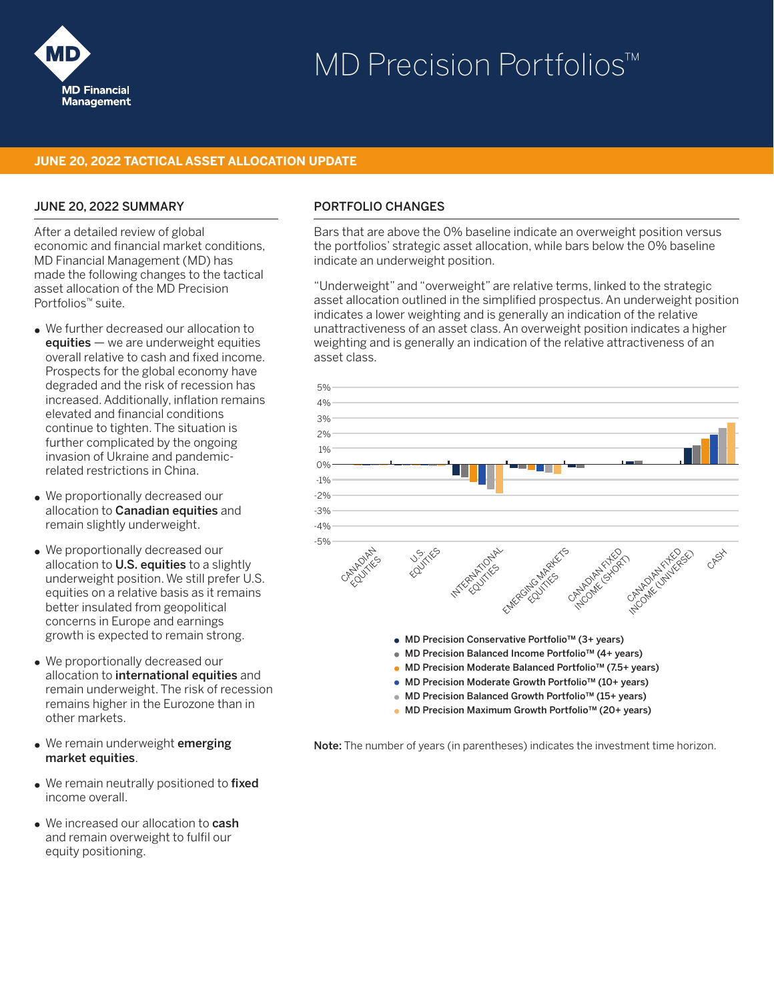

# MD Precision Portfolios™

#### **JUNE 20, 2022 TACTICAL ASSET ALLOCATION UPDATE**

#### JUNE 20, 2022 SUMMARY

After a detailed review of global economic and financial market conditions, MD Financial Management (MD) has made the following changes to the tactical asset allocation of the MD Precision Portfolios™ suite.

- We further decreased our allocation to  $equities - we$  are underweight equities overall relative to cash and fixed income. Prospects for the global economy have degraded and the risk of recession has increased. Additionally, inflation remains elevated and financial conditions continue to tighten. The situation is further complicated by the ongoing invasion of Ukraine and pandemicrelated restrictions in China.
- We proportionally decreased our allocation to **Canadian equities** and remain slightly underweight.
- We proportionally decreased our allocation to U.S. equities to a slightly underweight position. We still prefer U.S. equities on a relative basis as it remains better insulated from geopolitical concerns in Europe and earnings growth is expected to remain strong.
- We proportionally decreased our allocation to international equities and remain underweight. The risk of recession remains higher in the Eurozone than in other markets.
- We remain underweight emerging market equities.
- We remain neutrally positioned to fixed income overall.
- We increased our allocation to **cash** and remain overweight to fulfil our equity positioning.

#### PORTFOLIO CHANGES

Bars that are above the 0% baseline indicate an overweight position versus the portfolios' strategic asset allocation, while bars below the 0% baseline indicate an underweight position.

"Underweight" and "overweight" are relative terms, linked to the strategic asset allocation outlined in the simplified prospectus. An underweight position indicates a lower weighting and is generally an indication of the relative unattractiveness of an asset class. An overweight position indicates a higher weighting and is generally an indication of the relative attractiveness of an asset class.



• MD Precision Maximum Growth Portfolio™ (20+ years)

Note: The number of years (in parentheses) indicates the investment time horizon.